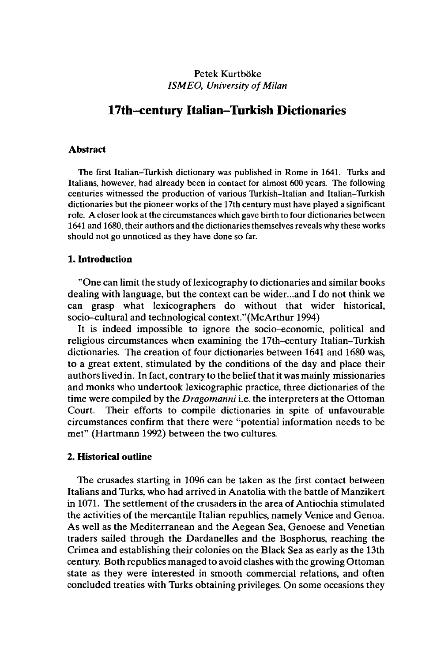## Petek Kurtböke *ISMEO, University of Milan*

# **17th-century Italian-Turkish Dictionaries**

#### **Abstract**

The first Italian-Turkish dictionary was published in Rome in 1641. Turks and Italians, however, had already been in contact for almost 600 years. The following centuries witnessed the production of various Turkish-Italian and Italian-Turkish dictionaries but the pioneer works of the 17th century must have played a significant role. A closer look at the circumstances which gave birth to four dictionaries between 1641 and 1680, their authors and the dictionaries themselves reveals why these works should not go unnoticed as they have done so far.

#### **1. Introduction**

"One can limit the study of lexicography to dictionaries and similar books" dealing with language, but the context can be wider...and I do not think we can grasp what lexicographers do without that wider historical, socio-cultural and technological context."(McArthur 1994)

It is indeed impossible to ignore the socio-economic, political and religious circumstances when examining the 17th-century Italian-Turkish dictionaries. The creation of four dictionaries between 1641 and 1680 was, to a great extent, stimulated by the conditions of the day and place their authors lived in. In fact, contrary to the belief that it was mainly missionaries and monks who undertook lexicographic practice, three dictionaries of the time were compiled by the *Dragomanni*i.e. the interpreters at the Ottoman Court. Their efforts to compile dictionaries in spite of unfavourable circumstances confirm that there were "potential information needs to be met" (Hartmann 1992) between the two cultures.

#### **2. Historical outline**

The crusades starting in 1096 can be taken as the first contact between Italians and Turks, who had arrived in Anatolia with the battle of Manzikert in 1071. The settlement of the crusaders in the area of Antiochia stimulated the activities of the mercantile Italian republics, namely Venice and Genoa. As well as the Mediterranean and the Aegean Sea, Genoese and Venetian traders sailed through the Dardanelles and the Bosphorus, reaching the Crimea and establishing their colonies on the Black Sea as early as the 13th century. Both republics managed to avoid clashes with the growing Ottoman state as they were interested in smooth commercial relations, and often concluded treaties with Turks obtaining privileges. On some occasions they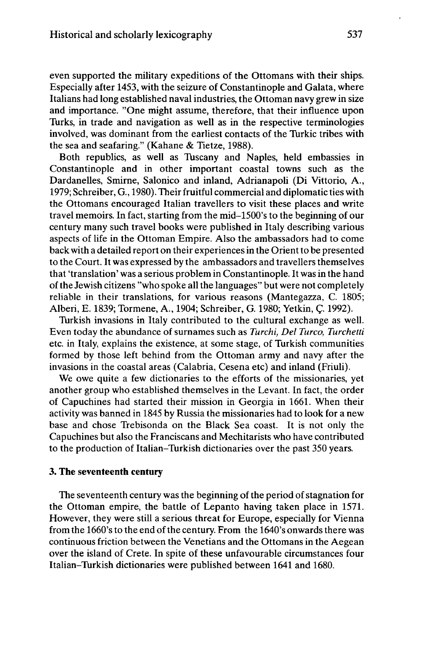even supported the military expeditions of the Ottomans with their ships. Especially after 1453, with the seizure of Constantinople and Galata, where Italians had long established naval industries, the Ottoman navy grew in size and importance. "One might assume, therefore, that their influence upon Turks, in trade and navigation as well as in the respective terminologies involved, was dominant from the earliest contacts of the Turkic tribes with the sea and seafaring." (Kahane & Tietze, 1988).

Both republics, as well as Tuscany and Naples, held embassies in Constantinople and in other important coastal towns such as the Dardanelles, Smirne, Salonico and inland, Adrianapoli (Di Vittorio, A., 1979; Schreiber, G., 1980). Their fruitful commercial and diplomatic ties with the Ottomans encouraged Italian travellers to visit these places and write travel memoirs. In fact, starting from the mid-1500's to the beginning of our century many such travel books were published in Italy describing various aspects of life in the Ottoman Empire. Also the ambassadors had to come back with a detailed report on their experiences in the Orient to be presented to the Court. It was expressed by the ambassadors and travellers themselves that 'translation' was a serious problem in Constantinople. It was in the hand ofthe Jewish citizens "who spoke all the languages" but were not completely reliable in their translations, for various reasons (Mantegazza, C. 1805; Alberi, E. 1839; Tormene, A., 1904; Schreiber, G. 1980; Yetkin, Ç. 1992).

Turkish invasions in Italy contributed to the cultural exchange as well. Even today the abundance of surnames such as *Turchi, Del Turco, Turchetti* etc. in Italy, explains the existence, at some stage, of Turkish communities formed by those left behind from the Ottoman army and navy after the invasions in the coastal areas (Calabria, Cesena etc) and inland (Friuli).

We owe quite a few dictionaries to the efforts of the missionaries, yet another group who established themselves in the Levant. In fact, the order of Capuchines had started their mission in Georgia in 1661. When their activity was banned in 1845 by Russia the missionaries had to look for a new base and chose Trebisonda on the Black Sea coast. It is not only the Capuchines but also the Franciscans and Mechitarists who have contributed to the production of Italian-Turkish dictionaries over the past 350 years.

#### **3. The seventeenth century**

The seventeenth century was the beginning of the period of stagnation for the Ottoman empire, the battle of Lepanto having taken place in 1571. However, they were still a serious threat for Europe, especially for Vienna from the 1660's to the end of the century. From the 1640's onwards there was continuous friction between the Venetians and the Ottomans in the Aegean over the island of Crete. In spite of these unfavourable circumstances four Italian-Turkish dictionaries were published between 1641 and 1680.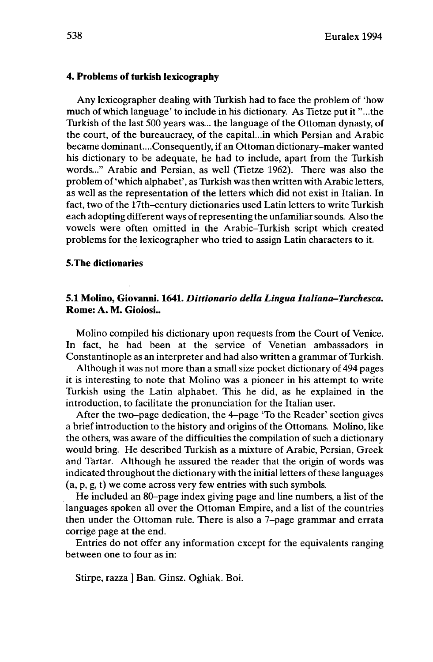#### **4.** Problems of turkish lexicography

Any lexicographer dealing with Turkish had to face the problem of 'how much of which language' to include in his dictionary. As Tietze put it "...the Turkish of the last 500 years was... the language of the Ottoman dynasty, of the court, of the bureaucracy, of the capital...in which Persian and Arabic became dominant....Consequently, if an Ottoman dictionary-maker wanted his dictionary to be adequate, he had to include, apart from the Turkish words..." Arabic and Persian, as well (Tietze 1962). There was also the problem of 'which alphabet', as Turkish was then written with Arabic letters, as well as the representation of the letters which did not exist in Italian. In fact, two of the 17th-century dictionaries used Latin letters to write Turkish each adopting different ways of representing the unfamiliar sounds. Also the vowels were often omitted in the Arabic-Turkish script which created problems for the lexicographer who tried to assign Latin characters to it.

#### **5.The dictionaries**

#### **5.1 Molino, Giovanni. 1641.** *Dittionario della Lingua Italiana-Turchesca.* **Rome: A. M. Gioiosi..**

Molino compiled his dictionary upon requests from the Court of Venice. In fact, he had been at the service of Venetian ambassadors in Constantinople as an interpreter and had also written a grammar of Turkish.

Although it was not more than a small size pocket dictionary of 494 pages it is interesting to note that Molino was a pioneer in his attempt to write Turkish using the Latin alphabet. This he did, as he explained in the introduction, to facilitate the pronunciation for the Italian user.

After the two-page dedication, the 4-page 'To the Reader' section gives a brief introduction to the history and origins of the Ottomans. Molino, like the others, was aware of the difficulties the compilation of such a dictionary would bring. He described Turkish as a mixture of Arabic, Persian, Greek and Tartar. Although he assured the reader that the origin of words was indicated throughout the dictionary with the initial letters of these languages (a, p, g, t) we come across very few entries with such symbols.

He included an 80-page index giving page and line numbers, a list of the languages spoken all over the Ottoman Empire, and a list of the countries then under the Ottoman rule. There is also a 7-page grammar and errata corrige page at the end.

Entries do not offer any information except for the equivalents ranging between one to four as in:

Stirpe, razza ] Ban. Ginsz. Oghiak. Boi.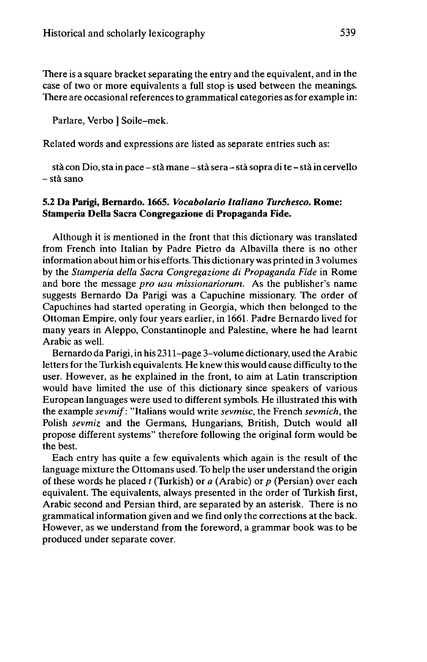There is a square bracket separating the entry and the equivalent, and in the case of two or more equivalents a full stop is used between the meanings. There are occasional references to grammatical categories as for example in:

Parlare, Verbo ] Soile-mek.

Related words and expressions are listed as separate entries such as:

stà con Dio,sta in pace -stà mane -stà sera -stà sopra di te -stà in cervello - stà sano

## **5.2 Da Parigi, Bernardo. 1665.** *Vocabolario Italiano Turchesco.* **Rome: Stamperia Delia Sacra Congregazione di Propaganda Fide.**

Although it is mentioned in the front that this dictionary was translated from French into Italian by Padre Pietro da Albavilla there is no other information about him or his efforts. This dictionary was printed in 3 volumes by the *Stamperia delta Sacra Congregazione di Propaganda Fide* in Rome and bore the message *pro usu missionariorum.* As the publisher's name suggests Bernardo Da Parigi was a Capuchine missionary. The order of Capuchines had started operating in Georgia, which then belonged to the Ottoman Empire, only four years earlier, in 1661. Padre Bernardo lived for many years in Aleppo, Constantinople and Palestine, where he had learnt Arabic as well.

Bernardo da Parigi, in his 2311-page 3-volume dictionary, used the Arabic letters for the Turkish equivalents. He knew this would cause difficulty to the user. However, as he explained in the front, to aim at Latin transcription would have limited the use of this dictionary since speakers of various European languages were used to different symbols. He illustrated this with the example *sevmif:* "Italians would write *sevmisc,* the French *sevmich,* the Polish *sevmiz* and the Germans, Hungarians, British, Dutch would all propose different systems" therefore following the original form would be the best.

Each entry has quite a few equivalents which again is the result of the language mixture the Ottomans used. To help the user understand the origin of these words he placed *t* (Turkish) or *a* (Arabic) or *p* (Persian) over each equivalent. The equivalents, always presented in the order of Turkish first, Arabic second and Persian third, are separated by an asterisk. There is no grammatical information given and we find only the corrections at the back. However, as we understand from the foreword, a grammar book was to be produced under separate cover.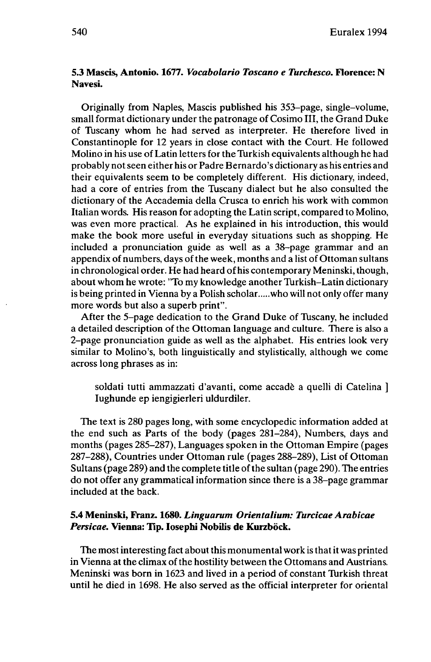## **5.3 Mastis, Antonio. 1677.** *Vocabolario Toscano e Turchesco.* **Florence: N Navesi.**

Originally from Naples, Mascis published his 353-page, single-volume, small format dictionary under the patronage of Cosimo III, the Grand Duke of Tuscany whom he had served as interpreter. He therefore lived in Constantinople for 12 years in close contact with the Court. He followed Molino in his use of Latin letters for the Turkish equivalents although he had probably notseen either his or Padre Bernardo's dictionary as his entries and their equivalents seem to be completely different. His dictionary, indeed, had a core of entries from the Tuscany dialect but he also consulted the dictionary of the Accademia della Crusca to enrich his work with common Italian words. His reason for adopting the Latin script, compared to Molino, was even more practical. As he explained in his introduction, this would make the book more useful in everyday situations such as shopping. He included a pronunciation guide as well as a 38-page grammar and an appendix of numbers, days of the week, months and a list of Ottoman sultans in chronological order. He had heard of his contemporary Meninski, though, about whom he wrote: "To my knowledge another Turkish-Latin dictionary is being printed in Vienna by a Polish scholar.....who will not only offer many more words but also a superb print".

After the 5-page dedication to the Grand Duke of Tuscany, he included a detailed description of the Ottoman language and culture. There is also a 2-page pronunciation guide as well as the alphabet. His entries look very similar to Molino's, both linguistically and stylistically, although we come across long phrases as in:

soldati tutti ammazzati d'avanti, come accadè a quelli di Catelina ] Iughunde ep iengigierleri uldurdiler.

The text is 280 pages long, with some encyclopedic information added at the end such as Parts of the body (pages 281-284), Numbers, days and months (pages 285-287), Languages spoken in the Ottoman Empire (pages 287-288), Countries under Ottoman rule (pages 288-289), List of Ottoman Sultans (page 289) and the complete title of the sultan (page 290). The entries do not offer any grammatical information since there is a 38-page grammar included at the back.

#### **5.4 Meninski, Franz. 1680.** *Linguarum Orientalium: Turcicae Arabicae Persicae.* **Vienna: Tip. Iosephi Nobilis de Kurzböck.**

The most interesting fact about this monumental work is that it was printed in Vienna at the climax of the hostility between the Ottomans and Austrians. Meninski was born in 1623 and lived in a period of constant Turkish threat until he died in 1698. He also served as the official interpreter for oriental